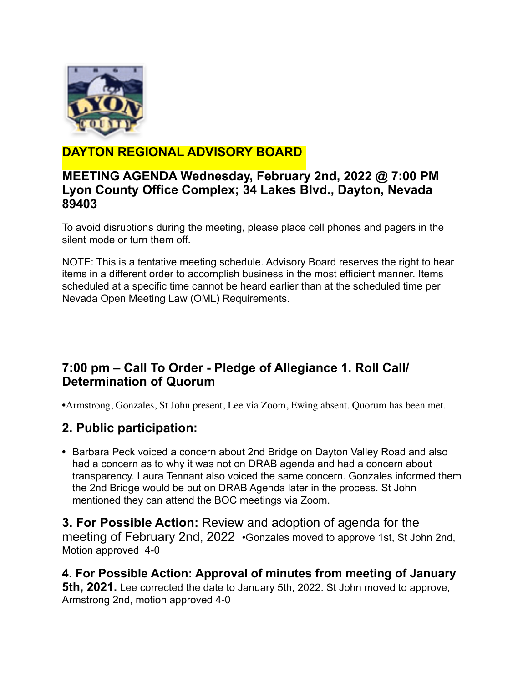

# **DAYTON REGIONAL ADVISORY BOARD**

#### **MEETING AGENDA Wednesday, February 2nd, 2022 @ 7:00 PM Lyon County Office Complex; 34 Lakes Blvd., Dayton, Nevada 89403**

To avoid disruptions during the meeting, please place cell phones and pagers in the silent mode or turn them off.

NOTE: This is a tentative meeting schedule. Advisory Board reserves the right to hear items in a different order to accomplish business in the most efficient manner. Items scheduled at a specific time cannot be heard earlier than at the scheduled time per Nevada Open Meeting Law (OML) Requirements.

## **7:00 pm – Call To Order - Pledge of Allegiance 1. Roll Call/ Determination of Quorum**

•Armstrong, Gonzales, St John present, Lee via Zoom, Ewing absent. Quorum has been met.

## **2. Public participation:**

**•** Barbara Peck voiced a concern about 2nd Bridge on Dayton Valley Road and also had a concern as to why it was not on DRAB agenda and had a concern about transparency. Laura Tennant also voiced the same concern. Gonzales informed them the 2nd Bridge would be put on DRAB Agenda later in the process. St John mentioned they can attend the BOC meetings via Zoom.

**3. For Possible Action:** Review and adoption of agenda for the meeting of February 2nd, 2022 •Gonzales moved to approve 1st, St John 2nd, Motion approved 4-0

**4. For Possible Action: Approval of minutes from meeting of January 5th, 2021.** Lee corrected the date to January 5th, 2022. St John moved to approve, Armstrong 2nd, motion approved 4-0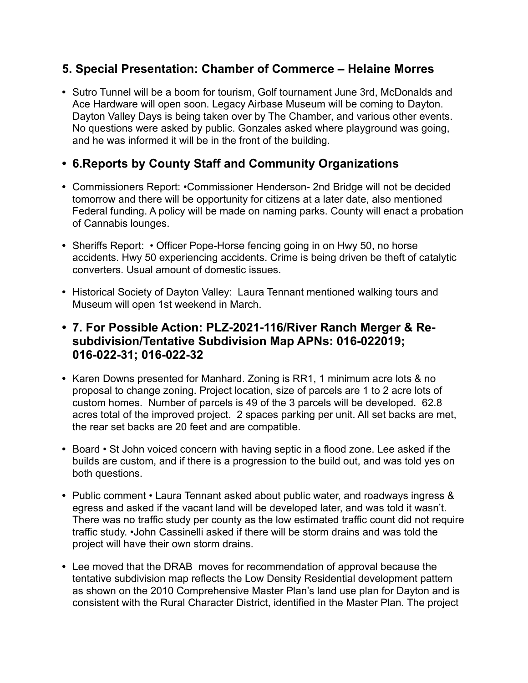#### **5. Special Presentation: Chamber of Commerce – Helaine Morres**

**•** Sutro Tunnel will be a boom for tourism, Golf tournament June 3rd, McDonalds and Ace Hardware will open soon. Legacy Airbase Museum will be coming to Dayton. Dayton Valley Days is being taken over by The Chamber, and various other events. No questions were asked by public. Gonzales asked where playground was going, and he was informed it will be in the front of the building.

### **• 6.Reports by County Staff and Community Organizations**

- **•** Commissioners Report: •Commissioner Henderson- 2nd Bridge will not be decided tomorrow and there will be opportunity for citizens at a later date, also mentioned Federal funding. A policy will be made on naming parks. County will enact a probation of Cannabis lounges.
- Sheriffs Report: Officer Pope-Horse fencing going in on Hwy 50, no horse accidents. Hwy 50 experiencing accidents. Crime is being driven be theft of catalytic converters. Usual amount of domestic issues.
- **•** Historical Society of Dayton Valley: Laura Tennant mentioned walking tours and Museum will open 1st weekend in March.
- **• 7. For Possible Action: PLZ-2021-116/River Ranch Merger & Resubdivision/Tentative Subdivision Map APNs: 016-022019; 016-022-31; 016-022-32**
- **•** Karen Downs presented for Manhard. Zoning is RR1, 1 minimum acre lots & no proposal to change zoning. Project location, size of parcels are 1 to 2 acre lots of custom homes. Number of parcels is 49 of the 3 parcels will be developed. 62.8 acres total of the improved project. 2 spaces parking per unit. All set backs are met, the rear set backs are 20 feet and are compatible.
- **•** Board St John voiced concern with having septic in a flood zone. Lee asked if the builds are custom, and if there is a progression to the build out, and was told yes on both questions.
- **•** Public comment Laura Tennant asked about public water, and roadways ingress & egress and asked if the vacant land will be developed later, and was told it wasn't. There was no traffic study per county as the low estimated traffic count did not require traffic study. •John Cassinelli asked if there will be storm drains and was told the project will have their own storm drains.
- **•** Lee moved that the DRAB moves for recommendation of approval because the tentative subdivision map reflects the Low Density Residential development pattern as shown on the 2010 Comprehensive Master Plan's land use plan for Dayton and is consistent with the Rural Character District, identified in the Master Plan. The project